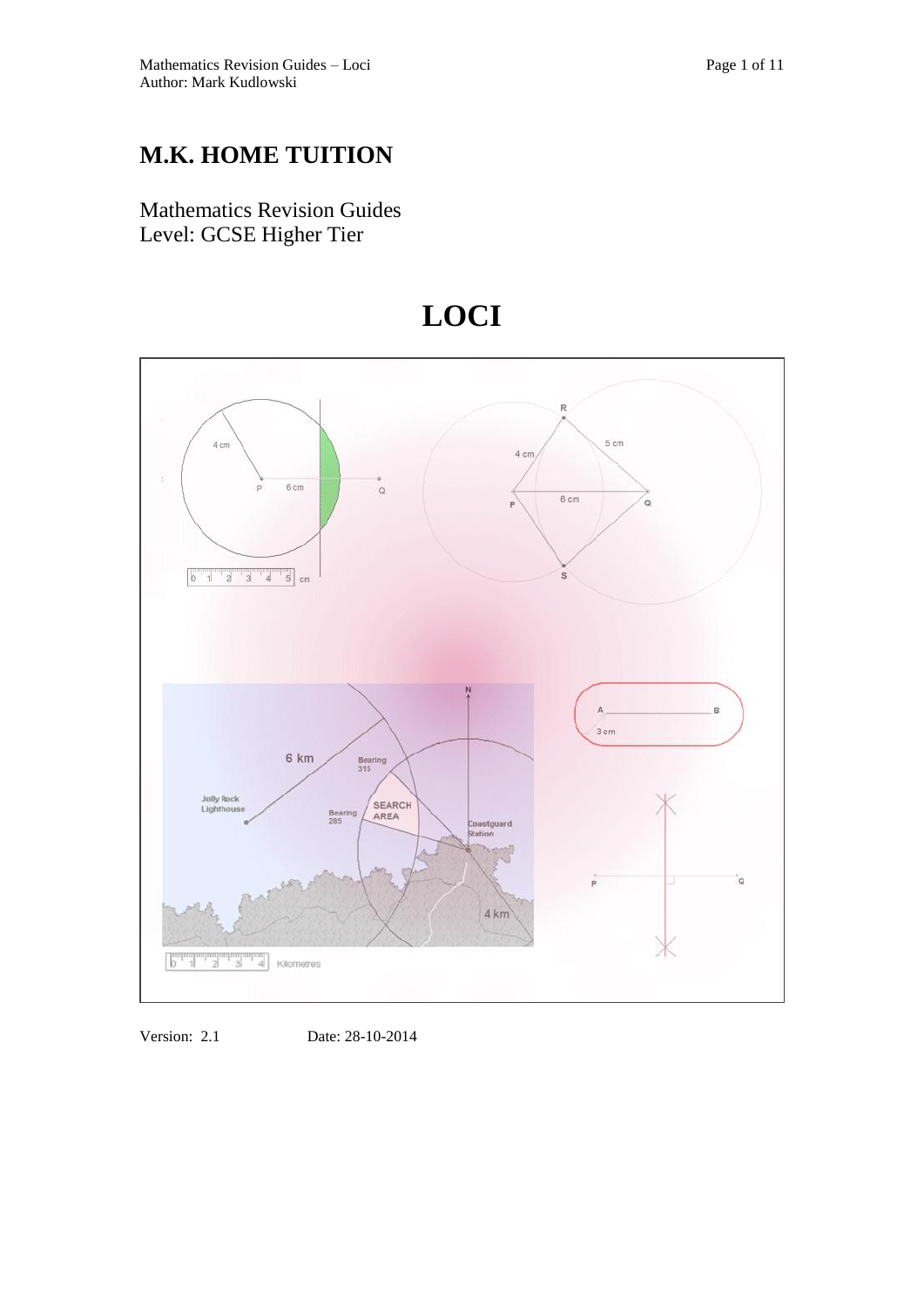## **M.K. HOME TUITION**

Mathematics Revision Guides Level: GCSE Higher Tier



# **LOCI**

Version: 2.1 Date: 28-10-2014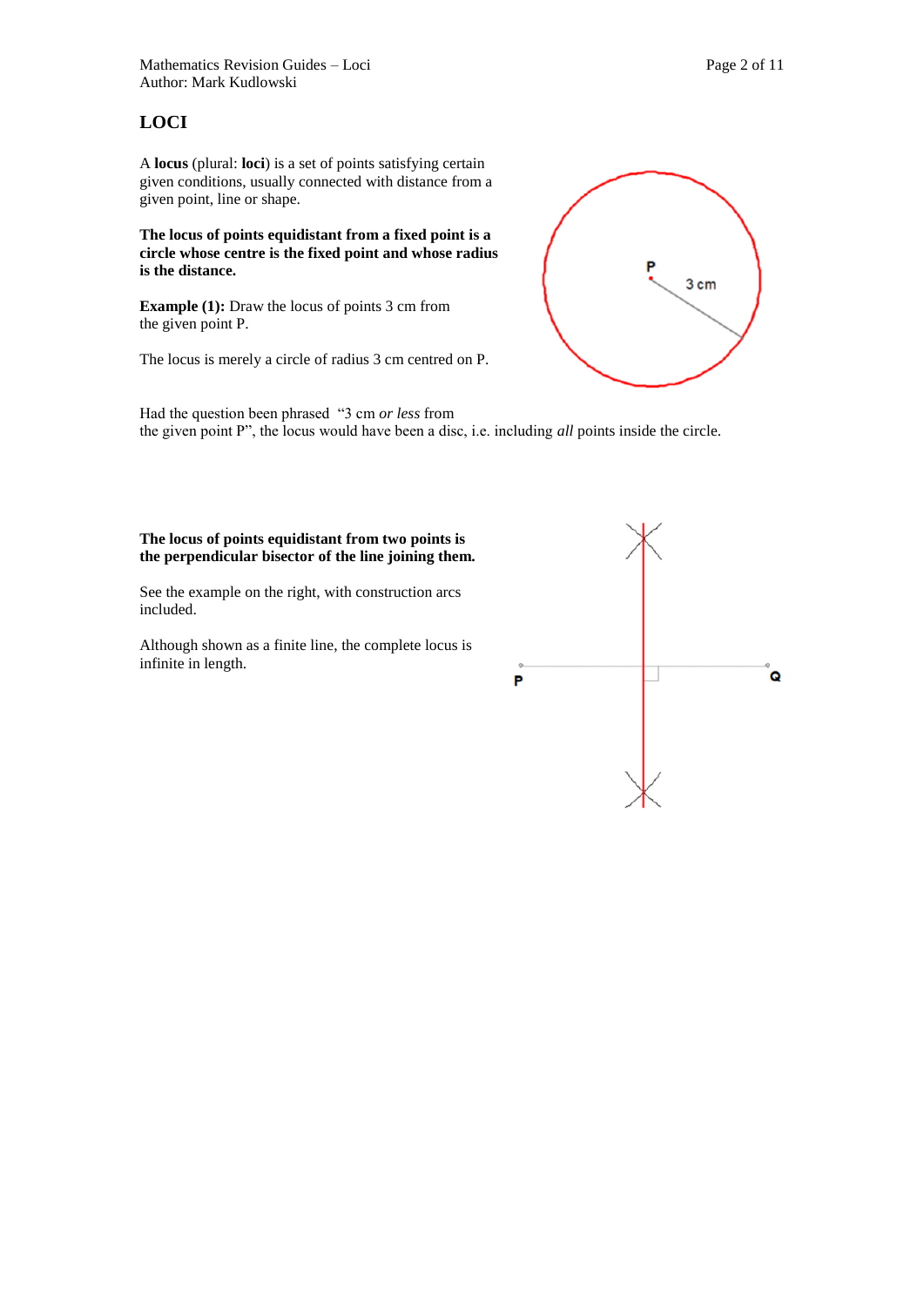### **LOCI**

A **locus** (plural: **loci**) is a set of points satisfying certain given conditions, usually connected with distance from a given point, line or shape.

**The locus of points equidistant from a fixed point is a circle whose centre is the fixed point and whose radius is the distance.** 

**Example (1):** Draw the locus of points 3 cm from the given point P.

The locus is merely a circle of radius 3 cm centred on P.



Had the question been phrased "3 cm *or less* from the given point P", the locus would have been a disc, i.e. including *all* points inside the circle.

#### **The locus of points equidistant from two points is the perpendicular bisector of the line joining them.**

See the example on the right, with construction arcs included.

Although shown as a finite line, the complete locus is infinite in length.

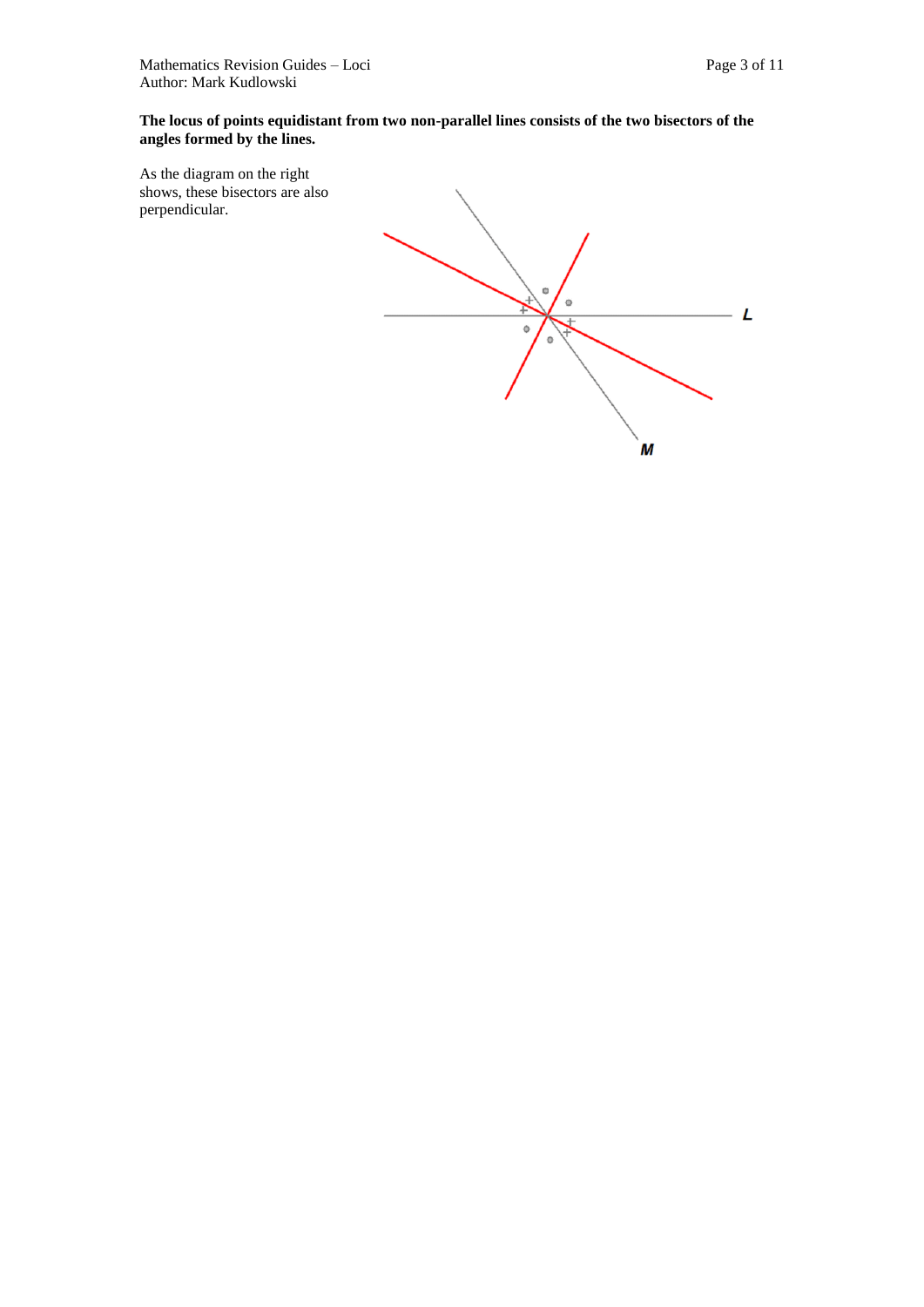**The locus of points equidistant from two non-parallel lines consists of the two bisectors of the angles formed by the lines.** 

As the diagram on the right shows, these bisectors are also perpendicular.

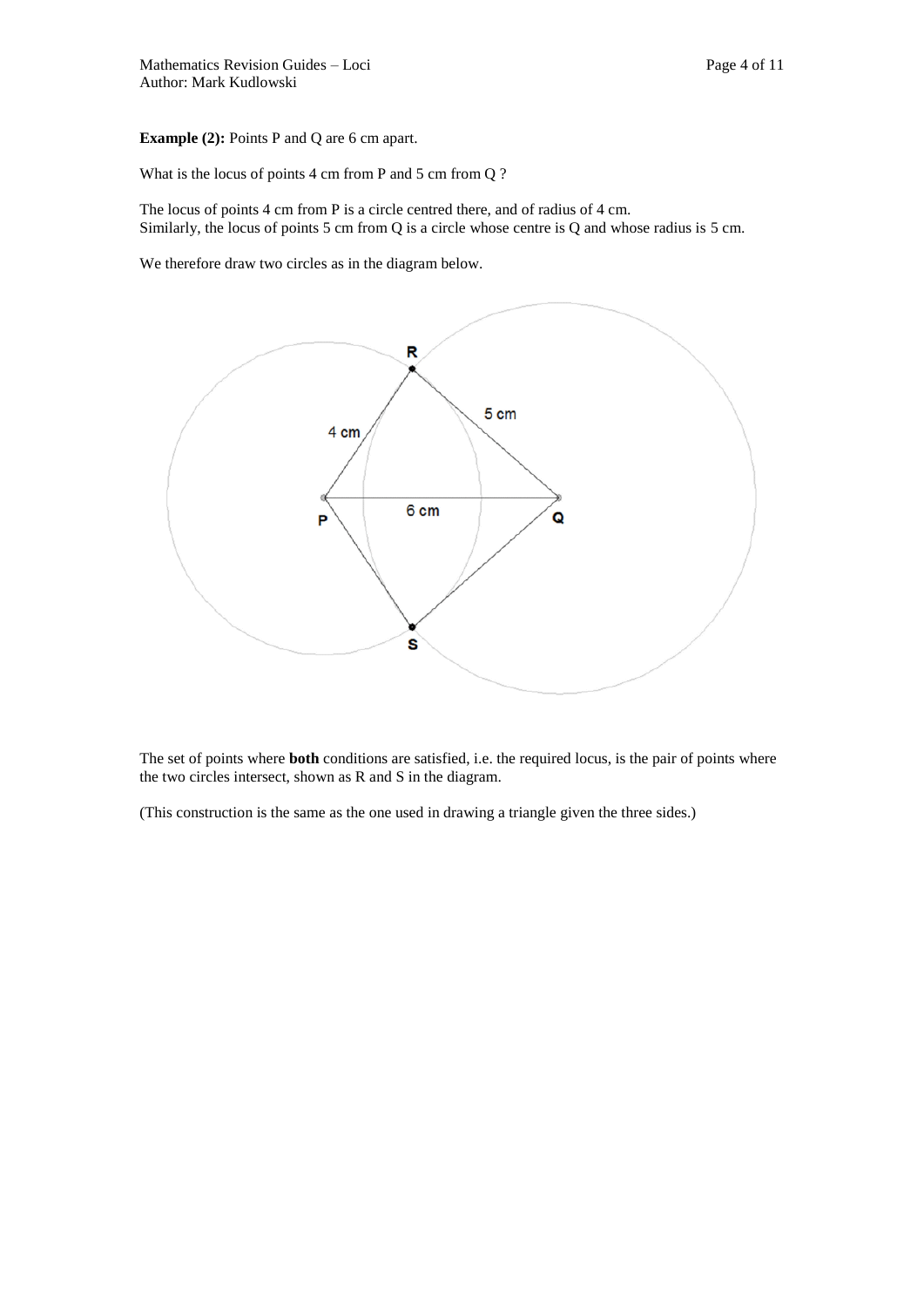**Example (2):** Points P and Q are 6 cm apart.

What is the locus of points 4 cm from P and 5 cm from Q ?

The locus of points 4 cm from P is a circle centred there, and of radius of 4 cm. Similarly, the locus of points 5 cm from Q is a circle whose centre is Q and whose radius is 5 cm.

We therefore draw two circles as in the diagram below.



The set of points where **both** conditions are satisfied, i.e. the required locus, is the pair of points where the two circles intersect, shown as R and S in the diagram.

(This construction is the same as the one used in drawing a triangle given the three sides.)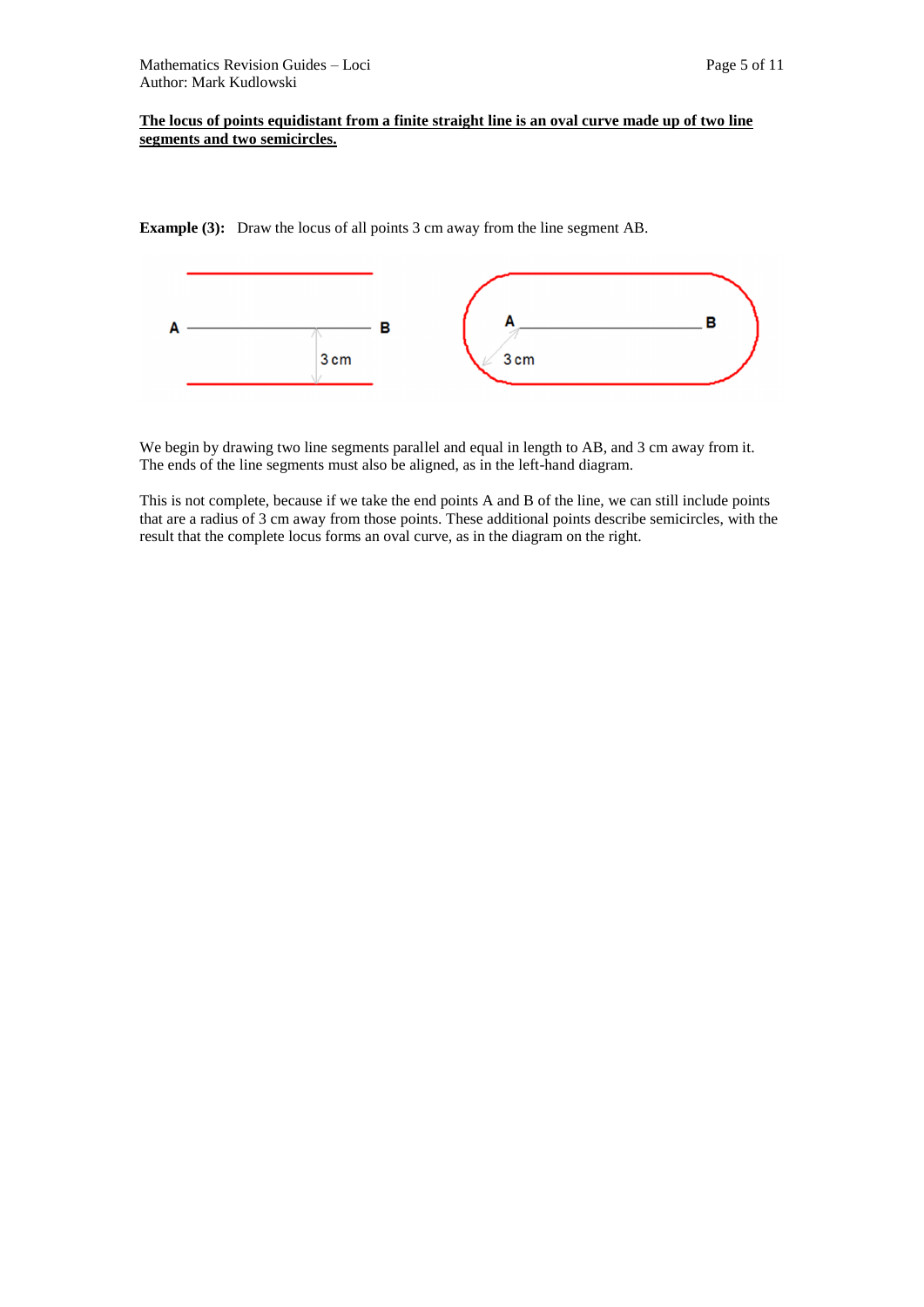#### **The locus of points equidistant from a finite straight line is an oval curve made up of two line segments and two semicircles.**

**Example (3):** Draw the locus of all points 3 cm away from the line segment AB.



We begin by drawing two line segments parallel and equal in length to AB, and 3 cm away from it. The ends of the line segments must also be aligned, as in the left-hand diagram.

This is not complete, because if we take the end points A and B of the line, we can still include points that are a radius of 3 cm away from those points. These additional points describe semicircles, with the result that the complete locus forms an oval curve, as in the diagram on the right.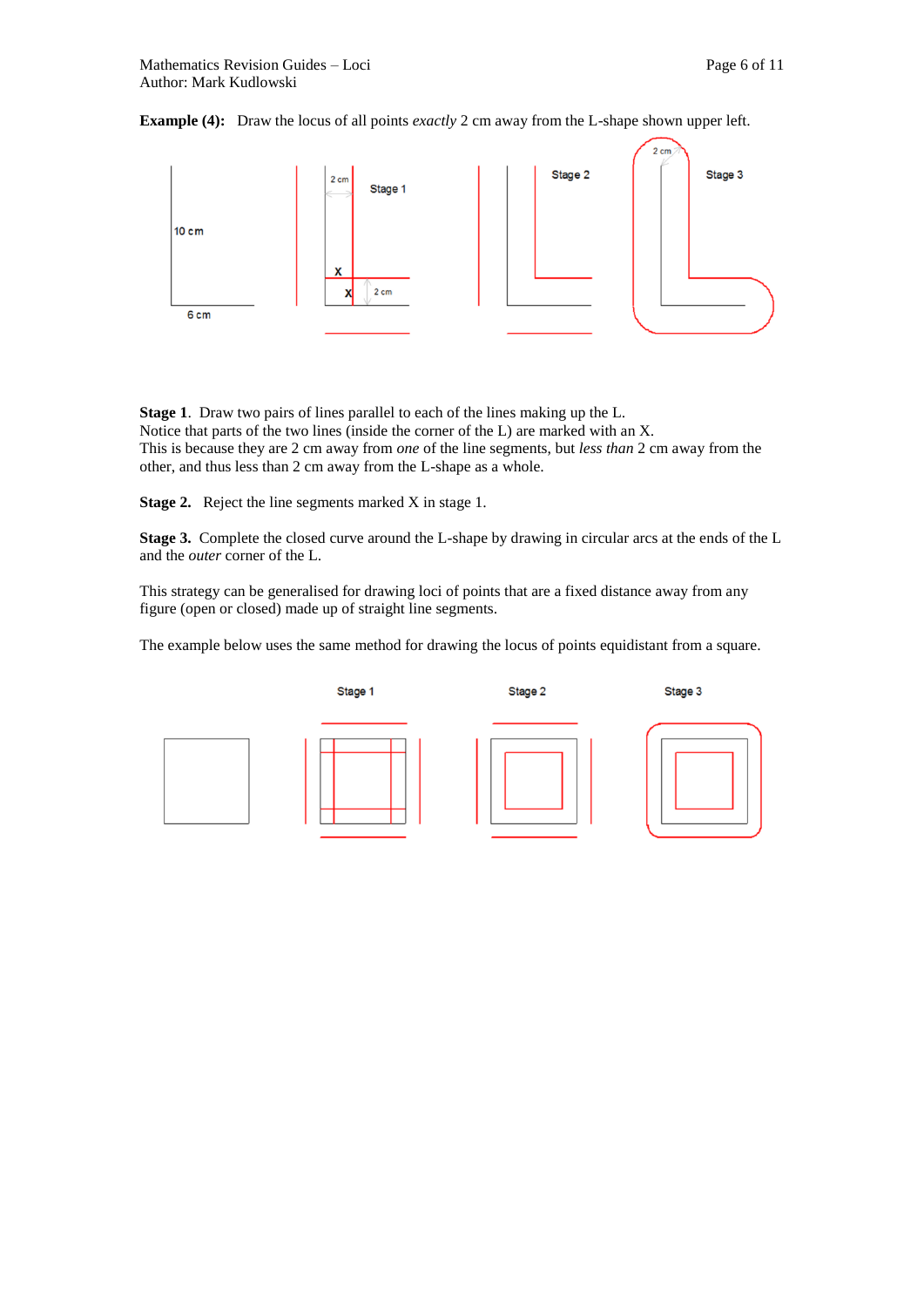**Example (4):** Draw the locus of all points *exactly* 2 cm away from the L-shape shown upper left.



**Stage 1**. Draw two pairs of lines parallel to each of the lines making up the L. Notice that parts of the two lines (inside the corner of the L) are marked with an X. This is because they are 2 cm away from *one* of the line segments, but *less than* 2 cm away from the other, and thus less than 2 cm away from the L-shape as a whole.

**Stage 2.** Reject the line segments marked X in stage 1.

**Stage 3.** Complete the closed curve around the L-shape by drawing in circular arcs at the ends of the L and the *outer* corner of the L.

This strategy can be generalised for drawing loci of points that are a fixed distance away from any figure (open or closed) made up of straight line segments.

The example below uses the same method for drawing the locus of points equidistant from a square.

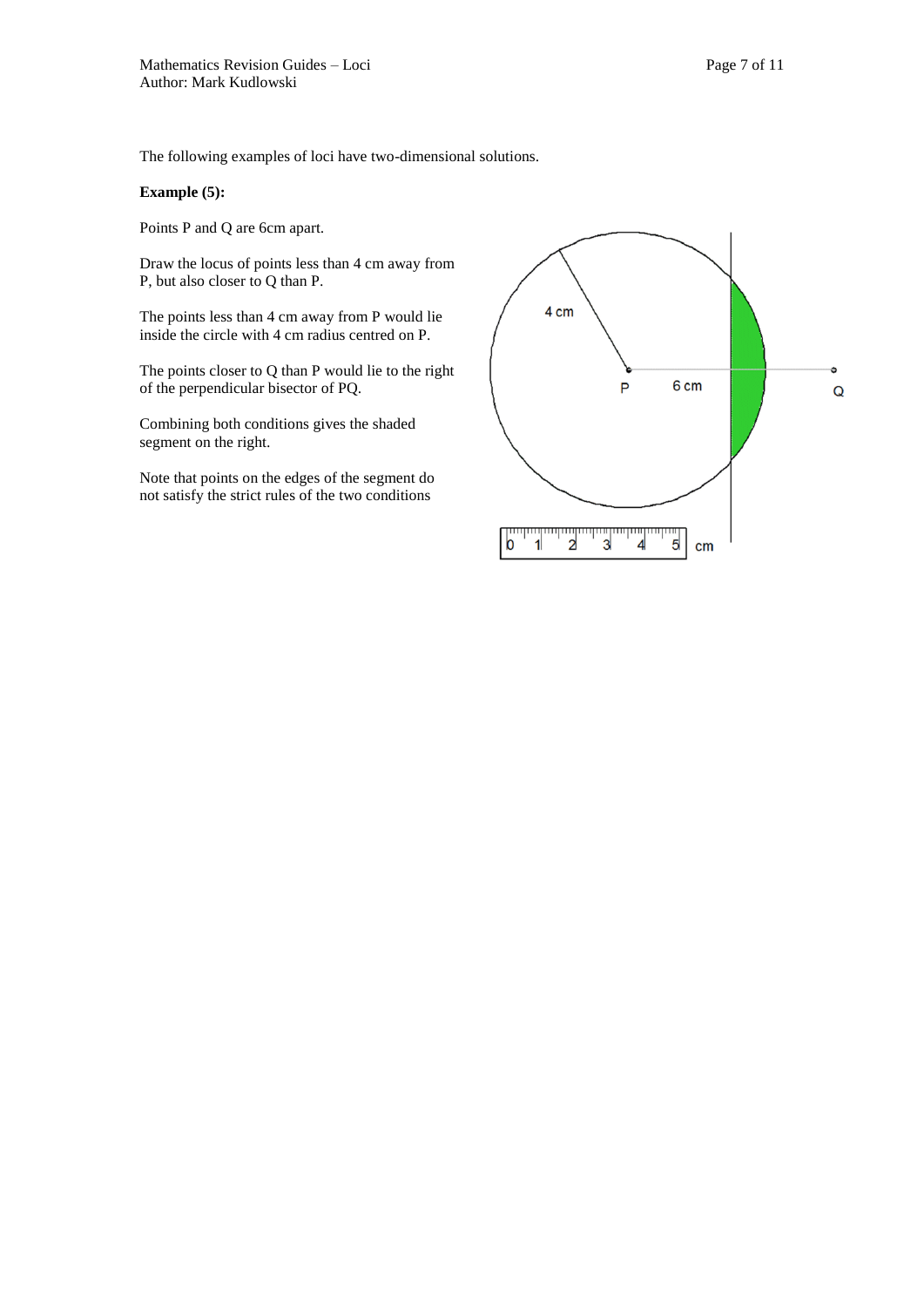The following examples of loci have two-dimensional solutions.

#### **Example (5):**

Points P and Q are 6cm apart.

Draw the locus of points less than 4 cm away from P, but also closer to Q than P.

The points less than 4 cm away from P would lie inside the circle with 4 cm radius centred on P.

The points closer to Q than P would lie to the right of the perpendicular bisector of PQ.

Combining both conditions gives the shaded segment on the right.

Note that points on the edges of the segment do not satisfy the strict rules of the two conditions

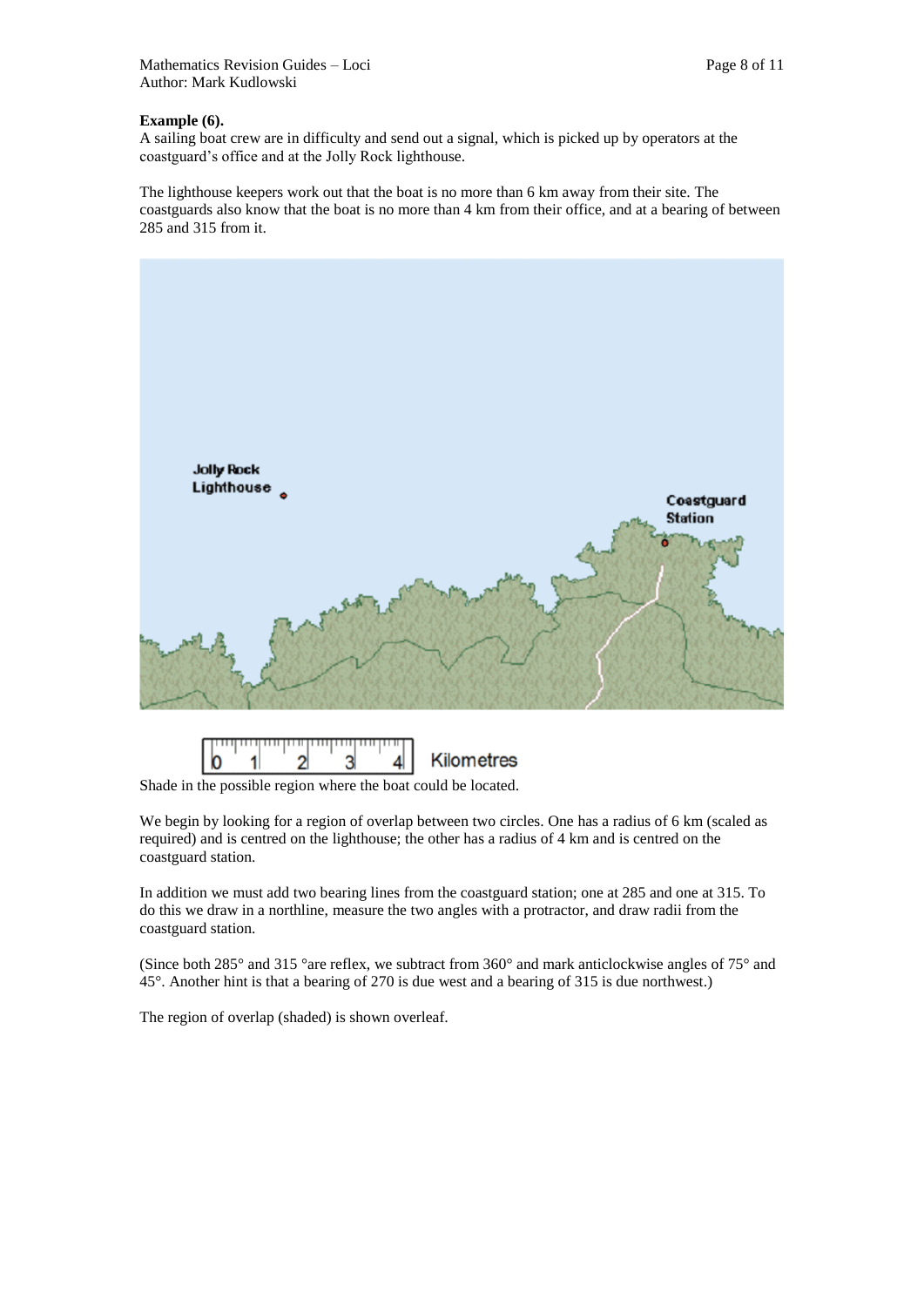#### **Example (6).**

A sailing boat crew are in difficulty and send out a signal, which is picked up by operators at the coastguard's office and at the Jolly Rock lighthouse.

The lighthouse keepers work out that the boat is no more than 6 km away from their site. The coastguards also know that the boat is no more than 4 km from their office, and at a bearing of between 285 and 315 from it.





Shade in the possible region where the boat could be located.

We begin by looking for a region of overlap between two circles. One has a radius of 6 km (scaled as required) and is centred on the lighthouse; the other has a radius of 4 km and is centred on the coastguard station.

In addition we must add two bearing lines from the coastguard station; one at 285 and one at 315. To do this we draw in a northline, measure the two angles with a protractor, and draw radii from the coastguard station.

(Since both 285° and 315 °are reflex, we subtract from 360° and mark anticlockwise angles of 75° and 45°. Another hint is that a bearing of 270 is due west and a bearing of 315 is due northwest.)

The region of overlap (shaded) is shown overleaf.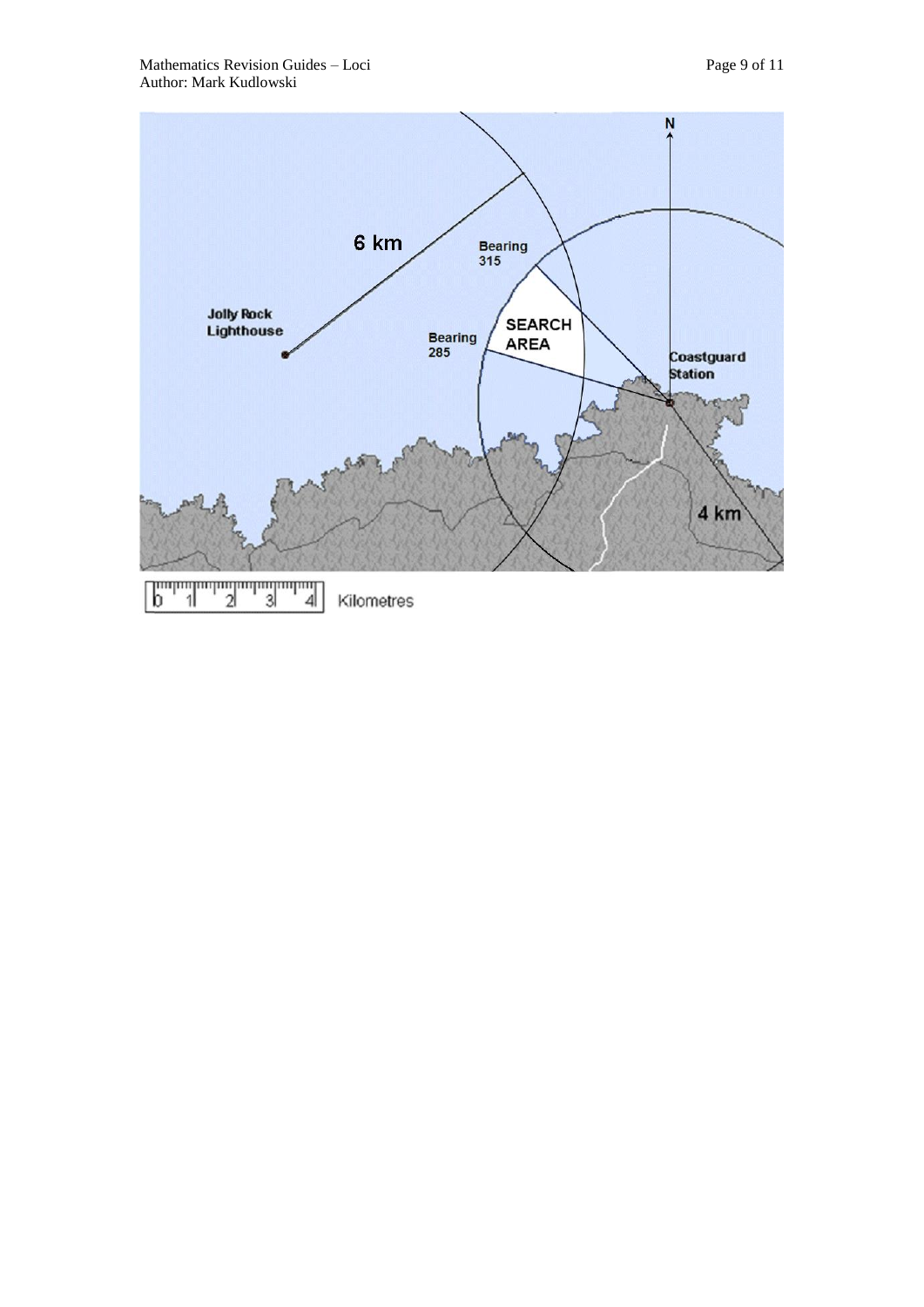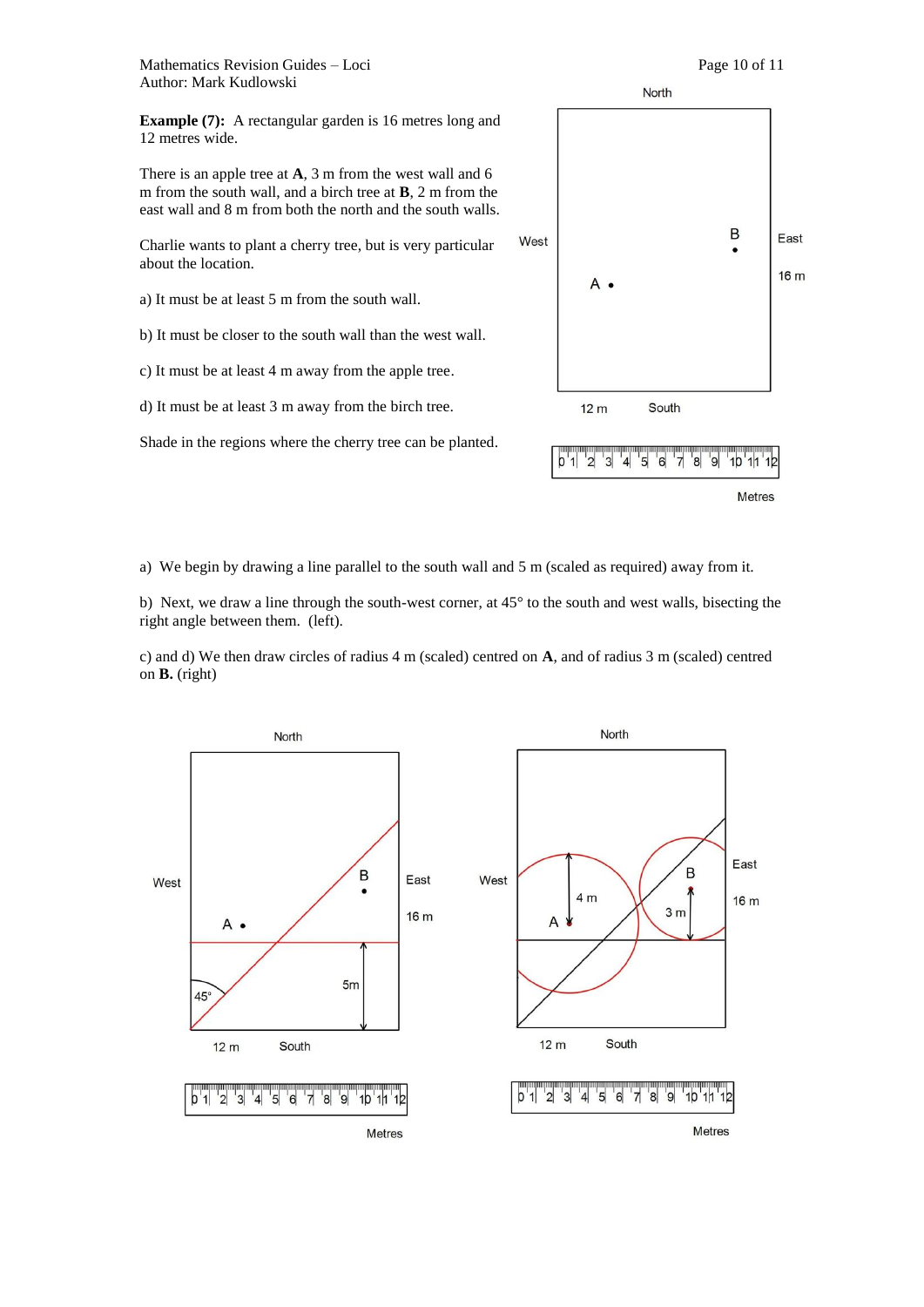Mathematics Revision Guides – Loci **Page 10 of 11** Author: Mark Kudlowski

**Example (7):** A rectangular garden is 16 metres long and 12 metres wide.

There is an apple tree at **A***,* 3 m from the west wall and 6 m from the south wall, and a birch tree at **B**, 2 m from the east wall and 8 m from both the north and the south walls.

Charlie wants to plant a cherry tree, but is very particular about the location.

- a) It must be at least 5 m from the south wall.
- b) It must be closer to the south wall than the west wall.

c) It must be at least 4 m away from the apple tree.

d) It must be at least 3 m away from the birch tree.

Shade in the regions where the cherry tree can be planted.



**Metres** 

a) We begin by drawing a line parallel to the south wall and 5 m (scaled as required) away from it.

b) Next, we draw a line through the south-west corner, at 45° to the south and west walls, bisecting the right angle between them. (left).

c) and d) We then draw circles of radius 4 m (scaled) centred on **A**, and of radius 3 m (scaled) centred on  $\bf{B}$ . (right)